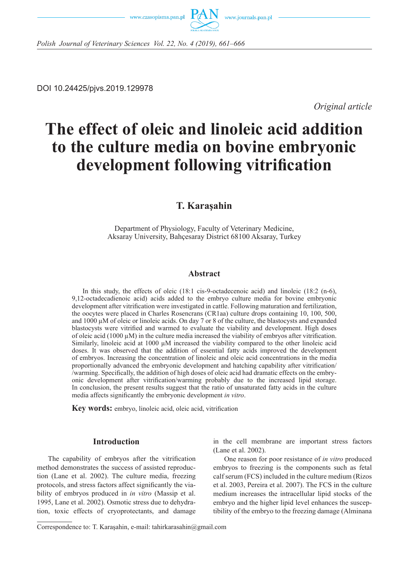



*Polish Journal of Veterinary Sciences Vol. 22, No. 4 (2019), 661–666*

DOI 10.24425/pjvs.2019.129978

*Original article*

# **The effect of oleic and linoleic acid addition to the culture media on bovine embryonic development following vitrification**

# **T. Karaşahin**

Department of Physiology, Faculty of Veterinary Medicine, Aksaray University, Bahçesaray District 68100 Aksaray, Turkey

#### **Abstract**

In this study, the effects of oleic (18:1 cis-9-octadecenoic acid) and linoleic (18:2 (n-6), 9,12-octadecadienoic acid) acids added to the embryo culture media for bovine embryonic development after vitrification were investigated in cattle. Following maturation and fertilization, the oocytes were placed in Charles Rosencrans (CR1aa) culture drops containing 10, 100, 500, and  $1000 \mu$ M of oleic or linoleic acids. On day 7 or 8 of the culture, the blastocysts and expanded blastocysts were vitrified and warmed to evaluate the viability and development. High doses of oleic acid (1000  $\mu$ M) in the culture media increased the viability of embryos after vitrification. Similarly, linoleic acid at 1000  $\mu$ M increased the viability compared to the other linoleic acid doses. It was observed that the addition of essential fatty acids improved the development of embryos. Increasing the concentration of linoleic and oleic acid concentrations in the media proportionally advanced the embryonic development and hatching capability after vitrification/ /warming. Specifically, the addition of high doses of oleic acid had dramatic effects on the embryonic development after vitrification/warming probably due to the increased lipid storage. In conclusion, the present results suggest that the ratio of unsaturated fatty acids in the culture media affects significantly the embryonic development *in vitro*.

**Key words:** embryo, linoleic acid, oleic acid, vitrification

#### **Introduction**

The capability of embryos after the vitrification method demonstrates the success of assisted reproduction (Lane et al. 2002). The culture media, freezing protocols, and stress factors affect significantly the viability of embryos produced in *in vitro* (Massip et al. 1995, Lane et al. 2002). Osmotic stress due to dehydration, toxic effects of cryoprotectants, and damage in the cell membrane are important stress factors (Lane et al. 2002).

One reason for poor resistance of *in vitro* produced embryos to freezing is the components such as fetal calf serum (FCS) included in the culture medium (Rizos et al. 2003, Pereira et al. 2007). The FCS in the culture medium increases the intracellular lipid stocks of the embryo and the higher lipid level enhances the susceptibility of the embryo to the freezing damage (Alminana

Correspondence to: T. Karaşahin, e-mail: tahirkarasahin@gmail.com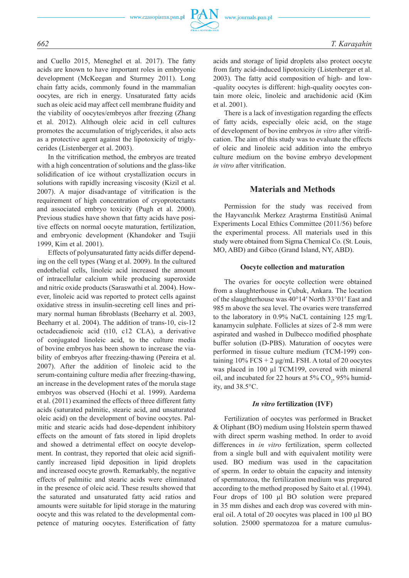

and Cuello 2015, Meneghel et al. 2017). The fatty acids are known to have important roles in embryonic development (McKeegan and Sturmey 2011). Long chain fatty acids, commonly found in the mammalian oocytes, are rich in energy. Unsaturated fatty acids such as oleic acid may affect cell membrane fluidity and the viability of oocytes/embryos after freezing (Zhang et al. 2012). Although oleic acid in cell cultures promotes the accumulation of triglycerides, it also acts as a protective agent against the lipotoxicity of triglycerides (Listenberger et al. 2003).

In the vitrification method, the embryos are treated with a high concentration of solutions and the glass-like solidification of ice without crystallization occurs in solutions with rapidly increasing viscosity (Kizil et al. 2007). A major disadvantage of vitrification is the requirement of high concentration of cryoprotectants and associated embryo toxicity (Pugh et al. 2000). Previous studies have shown that fatty acids have positive effects on normal oocyte maturation, fertilization, and embryonic development (Khandoker and Tsujii 1999, Kim et al. 2001).

Effects of polyunsaturated fatty acids differ depending on the cell types (Wang et al. 2009). In the cultured endothelial cells, linoleic acid increased the amount of intracellular calcium while producing superoxide and nitric oxide products (Saraswathi et al. 2004). However, linoleic acid was reported to protect cells against oxidative stress in insulin-secreting cell lines and primary normal human fibroblasts (Beeharry et al. 2003, Beeharry et al. 2004). The addition of trans-10, cis-12 octadecadienoic acid (t10, c12 CLA), a derivative of conjugated linoleic acid, to the culture media of bovine embryos has been shown to increase the viability of embryos after freezing-thawing (Pereira et al. 2007). After the addition of linoleic acid to the serum-containing culture media after freezing-thawing, an increase in the development rates of the morula stage embryos was observed (Hochi et al. 1999). Aardema et al. (2011) examined the effects of three different fatty acids (saturated palmitic, stearic acid, and unsaturated oleic acid) on the development of bovine oocytes. Palmitic and stearic acids had dose-dependent inhibitory effects on the amount of fats stored in lipid droplets and showed a detrimental effect on oocyte development. In contrast, they reported that oleic acid significantly increased lipid deposition in lipid droplets and increased oocyte growth. Remarkably, the negative effects of palmitic and stearic acids were eliminated in the presence of oleic acid. These results showed that the saturated and unsaturated fatty acid ratios and amounts were suitable for lipid storage in the maturing oocyte and this was related to the developmental competence of maturing oocytes. Esterification of fatty acids and storage of lipid droplets also protect oocyte from fatty acid-induced lipotoxicity (Listenberger et al. 2003). The fatty acid composition of high- and low- -quality oocytes is different: high-quality oocytes contain more oleic, linoleic and arachidonic acid (Kim et al. 2001).

There is a lack of investigation regarding the effects of fatty acids, especially oleic acid, on the stage of development of bovine embryos *in vitro* after vitrification. The aim of this study was to evaluate the effects of oleic and linoleic acid addition into the embryo culture medium on the bovine embryo development *in vitro* after vitrification.

### **Materials and Methods**

Permission for the study was received from the Hayvancılık Merkez Araştırma Enstitüsü Animal Experiments Local Ethics Committee (2011/56) before the experimental process. All materials used in this study were obtained from Sigma Chemical Co. (St. Louis, MO, ABD) and Gibco (Grand Island, NY, ABD).

#### **Oocyte collection and maturation**

The ovaries for oocyte collection were obtained from a slaughterhouse in Çubuk, Ankara. The location of the slaughterhouse was 40°14′ North 33°01′ East and 985 m above the sea level. The ovaries were transferred to the laboratory in 0.9% NaCL containing 125 mg/L kanamycin sulphate. Follicles at sizes of 2-8 mm were aspirated and washed in Dulbecco modified phosphate buffer solution (D-PBS). Maturation of oocytes were performed in tissue culture medium (TCM-199) containing  $10\%$  FCS + 2 μg/mL FSH. A total of 20 oocytes was placed in 100 µl TCM199, covered with mineral oil, and incubated for 22 hours at  $5\%$  CO<sub>2</sub>, 95% humidity, and 38.5°C.

#### *In vitro* **fertilization (IVF)**

Fertilization of oocytes was performed in Bracket & Oliphant (BO) medium using Holstein sperm thawed with direct sperm washing method. In order to avoid differences in *in vitro* fertilization, sperm collected from a single bull and with equivalent motility were used. BO medium was used in the capacitation of sperm. In order to obtain the capacity and intensity of spermatozoa, the fertilization medium was prepared according to the method proposed by Saito et al. (1994). Four drops of 100 µl BO solution were prepared in 35 mm dishes and each drop was covered with mineral oil. A total of 20 oocytes was placed in 100 µl BO solution. 25000 spermatozoa for a mature cumulus-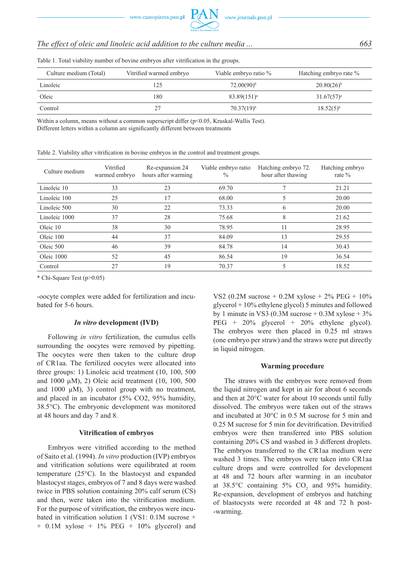# *The effect of oleic and linoleic acid addition to the culture media ... 663*

| Culture medium (Total) | Vitrified warmed embryo | Viable embryo ratio % | Hatching embryo rate % |
|------------------------|-------------------------|-----------------------|------------------------|
| Linoleic               | 25ء                     | $72.00(90)^{b}$       | $20.80(26)^{b}$        |
| Oleic                  | 180                     | $83.89(151)^a$        | $31.67(57)^a$          |
| Control                |                         | $70.37(19)^{b}$       | $18.52(5)^{b}$         |

Table 1. Total viability number of bovine embryos after vitrification in the groups.

Within a column, means without a common superscript differ (p<0.05, Kruskal-Wallis Test). Different letters within a column are significantly different between treatments

|  | Table 2. Viability after vitrification in bovine embryos in the control and treatment groups. |  |  |  |  |  |
|--|-----------------------------------------------------------------------------------------------|--|--|--|--|--|
|  |                                                                                               |  |  |  |  |  |

| Culture medium | Vitrified<br>warmed embryo | Re-expansion 24<br>hours after warming | Viable embryo ratio<br>$\frac{0}{0}$ | Hatching embryo 72.<br>hour after thawing | Hatching embryo<br>rate $\%$ |
|----------------|----------------------------|----------------------------------------|--------------------------------------|-------------------------------------------|------------------------------|
| Linoleic 10    | 33                         | 23                                     | 69.70                                |                                           | 21.21                        |
| Linoleic 100   | 25                         | 17                                     | 68.00                                |                                           | 20.00                        |
| Linoleic 500   | 30                         | 22                                     | 73.33                                | <sub>b</sub>                              | 20.00                        |
| Linoleic 1000  | 37                         | 28                                     | 75.68                                | 8                                         | 21.62                        |
| Oleic 10       | 38                         | 30                                     | 78.95                                | 11                                        | 28.95                        |
| Oleic 100      | 44                         | 37                                     | 84.09                                | 13                                        | 29.55                        |
| Oleic 500      | 46                         | 39                                     | 84.78                                | 14                                        | 30.43                        |
| Oleic 1000     | 52                         | 45                                     | 86.54                                | 19                                        | 36.54                        |
| Control        | 27                         | 19                                     | 70.37                                |                                           | 18.52                        |

\* Chi-Square Test (p>0.05)

-oocyte complex were added for fertilization and incubated for 5-6 hours.

#### *In vitro* **development (IVD)**

Following *in vitro* fertilization, the cumulus cells surrounding the oocytes were removed by pipetting. The oocytes were then taken to the culture drop of CR1aa. The fertilized oocytes were allocated into three groups: 1) Linoleic acid treatment (10, 100, 500 and 1000 µM), 2) Oleic acid treatment (10, 100, 500 and 1000  $\mu$ M), 3) control group with no treatment, and placed in an incubator (5% CO2, 95% humidity, 38.5°C). The embryonic development was monitored at 48 hours and day 7 and 8.

#### **Vitrification of embryos**

Embryos were vitrified according to the method of Saito et al. (1994). *In vitro* production (IVP) embryos and vitrification solutions were equilibrated at room temperature (25°C). In the blastocyst and expanded blastocyst stages, embryos of 7 and 8 days were washed twice in PBS solution containing 20% calf serum (CS) and then, were taken into the vitrification medium. For the purpose of vitrification, the embryos were incubated in vitrification solution 1 (VS1: 0.1M sucrose +  $+$  0.1M xylose  $+$  1% PEG  $+$  10% glycerol) and VS2 (0.2M sucrose + 0.2M xylose +  $2\%$  PEG +  $10\%$ glycerol + 10% ethylene glycol) 5 minutes and followed by 1 minute in VS3 (0.3M sucrose  $+$  0.3M xylose  $+$  3% PEG +  $20\%$  glycerol +  $20\%$  ethylene glycol). The embryos were then placed in 0.25 ml straws (one embryo per straw) and the straws were put directly in liquid nitrogen.

#### **Warming procedure**

The straws with the embryos were removed from the liquid nitrogen and kept in air for about 6 seconds and then at 20°C water for about 10 seconds until fully dissolved. The embryos were taken out of the straws and incubated at 30°C in 0.5 M sucrose for 5 min and 0.25 M sucrose for 5 min for devitrification. Devitrified embryos were then transferred into PBS solution containing 20% CS and washed in 3 different droplets. The embryos transferred to the CR1aa medium were washed 3 times. The embryos were taken into CR1aa culture drops and were controlled for development at 48 and 72 hours after warming in an incubator at  $38.5^{\circ}$ C containing  $5\%$  CO<sub>2</sub> and  $95\%$  humidity. Re-expansion, development of embryos and hatching of blastocysts were recorded at 48 and 72 h post- -warming.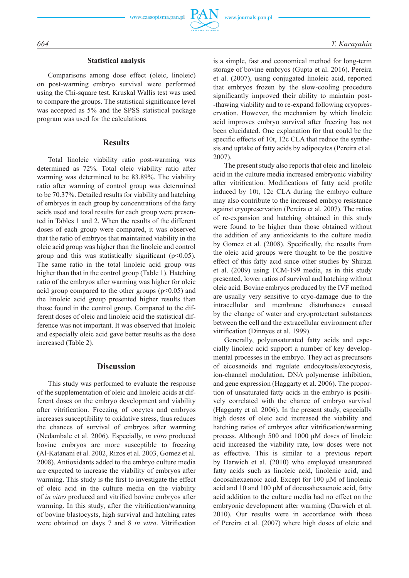

#### **Statistical analysis**

Comparisons among dose effect (oleic, linoleic) on post-warming embryo survival were performed using the Chi-square test. Kruskal Wallis test was used to compare the groups. The statistical significance level was accepted as 5% and the SPSS statistical package program was used for the calculations.

#### **Results**

Total linoleic viability ratio post-warming was determined as 72%. Total oleic viability ratio after warming was determined to be 83.89%. The viability ratio after warming of control group was determined to be 70.37%. Detailed results for viability and hatching of embryos in each group by concentrations of the fatty acids used and total results for each group were presented in Tables 1 and 2. When the results of the different doses of each group were compared, it was observed that the ratio of embryos that maintained viability in the oleic acid group was higher than the linoleic and control group and this was statistically significant ( $p<0.05$ ). The same ratio in the total linoleic acid group was higher than that in the control group (Table 1). Hatching ratio of the embryos after warming was higher for oleic acid group compared to the other groups  $(p<0.05)$  and the linoleic acid group presented higher results than those found in the control group. Compared to the different doses of oleic and linoleic acid the statistical difference was not important. It was observed that linoleic and especially oleic acid gave better results as the dose increased (Table 2).

#### **Discussion**

This study was performed to evaluate the response of the supplementation of oleic and linoleic acids at different doses on the embryo development and viability after vitrification. Freezing of oocytes and embryos increases susceptibility to oxidative stress, thus reduces the chances of survival of embryos after warming (Nedambale et al. 2006). Especially, *in vitro* produced bovine embryos are more susceptible to freezing (Al-Katanani et al. 2002, Rizos et al. 2003, Gomez et al. 2008). Antioxidants added to the embryo culture media are expected to increase the viability of embryos after warming. This study is the first to investigate the effect of oleic acid in the culture media on the viability of *in vitro* produced and vitrified bovine embryos after warming. In this study, after the vitrification/warming of bovine blastocysts, high survival and hatching rates were obtained on days 7 and 8 *in vitro*. Vitrification is a simple, fast and economical method for long-term storage of bovine embryos (Gupta et al. 2016). Pereira et al. (2007), using conjugated linoleic acid, reported that embryos frozen by the slow-cooling procedure significantly improved their ability to maintain post- -thawing viability and to re-expand following cryopreservation. However, the mechanism by which linoleic acid improves embryo survival after freezing has not been elucidated. One explanation for that could be the specific effects of 10t, 12c CLA that reduce the synthesis and uptake of fatty acids by adipocytes (Pereira et al. 2007).

The present study also reports that oleic and linoleic acid in the culture media increased embryonic viability after vitrification. Modifications of fatty acid profile induced by 10t, 12c CLA during the embryo culture may also contribute to the increased embryo resistance against cryopreservation (Pereira et al. 2007). The ratios of re-expansion and hatching obtained in this study were found to be higher than those obtained without the addition of any antioxidants to the culture media by Gomez et al. (2008). Specifically, the results from the oleic acid groups were thought to be the positive effect of this fatty acid since other studies by Shirazi et al. (2009) using TCM-199 media, as in this study presented, lower ratios of survival and hatching without oleic acid. Bovine embryos produced by the IVF method are usually very sensitive to cryo-damage due to the intracellular and membrane disturbances caused by the change of water and cryoprotectant substances between the cell and the extracellular environment after vitrification (Dinnyes et al. 1999).

Generally, polyunsaturated fatty acids and especially linoleic acid support a number of key developmental processes in the embryo. They act as precursors of eicosanoids and regulate endocytosis/exocytosis, ion-channel modulation, DNA polymerase inhibition, and gene expression (Haggarty et al. 2006). The proportion of unsaturated fatty acids in the embryo is positively correlated with the chance of embryo survival (Haggarty et al. 2006). In the present study, especially high doses of oleic acid increased the viability and hatching ratios of embryos after vitrification/warming process. Although 500 and 1000 μM doses of linoleic acid increased the viability rate, low doses were not as effective. This is similar to a previous report by Darwich et al. (2010) who employed unsaturated fatty acids such as linoleic acid, linolenic acid, and docosahexaenoic acid. Except for 100 μM of linolenic acid and 10 and 100 μM of docosahexaenoic acid, fatty acid addition to the culture media had no effect on the embryonic development after warming (Darwich et al. 2010). Our results were in accordance with those of Pereira et al. (2007) where high doses of oleic and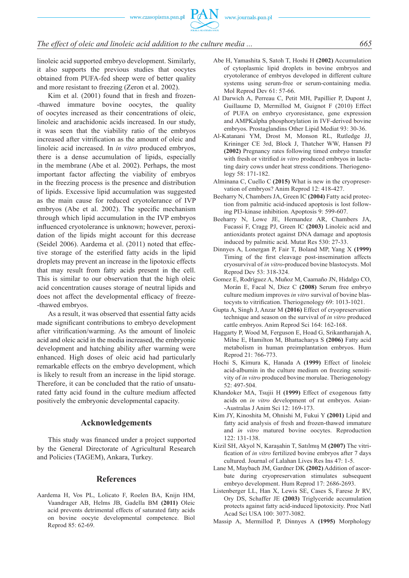www.czasopisma.pan.pl



## *The effect of oleic and linoleic acid addition to the culture media ... 665*

linoleic acid supported embryo development. Similarly, it also supports the previous studies that oocytes obtained from PUFA-fed sheep were of better quality and more resistant to freezing (Zeron et al. 2002).

Kim et al. (2001) found that in fresh and frozen--thawed immature bovine oocytes, the quality of oocytes increased as their concentrations of oleic, linoleic and arachidonic acids increased. In our study, it was seen that the viability ratio of the embryos increased after vitrification as the amount of oleic and linoleic acid increased. In *in vitro* produced embryos, there is a dense accumulation of lipids, especially in the membrane (Abe et al. 2002). Perhaps, the most important factor affecting the viability of embryos in the freezing process is the presence and distribution of lipids. Excessive lipid accumulation was suggested as the main cause for reduced cryotolerance of IVP embryos (Abe et al. 2002). The specific mechanism through which lipid accumulation in the IVP embryos influenced cryotolerance is unknown; however, peroxidation of the lipids might account for this decrease (Seidel 2006). Aardema et al. (2011) noted that effective storage of the esterified fatty acids in the lipid droplets may prevent an increase in the lipotoxic effects that may result from fatty acids present in the cell. This is similar to our observation that the high oleic acid concentration causes storage of neutral lipids and does not affect the developmental efficacy of freeze- -thawed embryos.

As a result, it was observed that essential fatty acids made significant contributions to embryo development after vitrification/warming. As the amount of linoleic acid and oleic acid in the media increased, the embryonic development and hatching ability after warming were enhanced. High doses of oleic acid had particularly remarkable effects on the embryo development, which is likely to result from an increase in the lipid storage. Therefore, it can be concluded that the ratio of unsaturated fatty acid found in the culture medium affected positively the embryonic developmental capacity.

#### **Acknowledgements**

This study was financed under a project supported by the General Directorate of Agricultural Research and Policies (TAGEM), Ankara, Turkey.

#### **References**

Aardema H, Vos PL, Lolicato F, Roelen BA, Knijn HM, Vaandrager AB, Helms JB, Gadella BM **(2011)** Oleic acid prevents detrimental effects of saturated fatty acids on bovine oocyte developmental competence. Biol Reprod 85: 62-69.

- Abe H, Yamashita S, Satoh T, Hoshi H **(2002)** Accumulation of cytoplasmic lipid droplets in bovine embryos and cryotolerance of embryos developed in different culture systems using serum-free or serum-containing media. Mol Reprod Dev 61: 57-66.
- Al Darwich A, Perreau C, Petit MH, Papillier P, Dupont J, Guillaume D, Mermillod M, Guignot F (2010) Effect of PUFA on embryo cryoresistance, gene expression and AMPKalpha phosphorylation in IVF-derived bovine embryos. Prostaglandins Other Lipid Mediat 93: 30-36.
- Al-Katanani YM, Drost M, Monson RL, Rutledge JJ, Krininger CE 3rd, Block J, Thatcher WW, Hansen PJ **(2002)** Pregnancy rates following timed embryo transfer with fresh or vitrified *in vitro* produced embryos in lactating dairy cows under heat stress conditions. Theriogenology 58: 171-182.
- Alminana C, Cuello C **(2015)** What is new in the cryopreservation of embryos? Anim Reprod 12: 418-427.
- Beeharry N, Chambers JA, Green IC **(2004)** Fatty acid protection from palmitic acid-induced apoptosis is lost following PI3-kinase inhibition. Apoptosis 9: 599-607.
- Beeharry N, Lowe JE, Hernandez AR, Chambers JA, Fucassi F, Cragg PJ, Green IC **(2003)** Linoleic acid and antioxidants protect against DNA damage and apoptosis induced by palmitic acid. Mutat Res 530: 27-33.
- Dinnyes A, Lonergan P, Fair T, Boland MP, Yang X **(1999)** Timing of the first cleavage post-insemination affects cryosurvival of *in vitro*-produced bovine blastocysts. Mol Reprod Dev 53: 318-324.
- Gomez E, Rodríguez A, Muñoz M, Caamaño JN, Hidalgo CO, Morán E, Facal N, Diez C **(2008)** Serum free embryo culture medium improves *in vitro* survival of bovine blastocysts to vitrification. Theriogenology 69: 1013-1021.
- Gupta A, Singh J, Anzar M **(2016)** Effect of cryopreservation technique and season on the survival of *in vitro* produced cattle embryos. Anim Reprod Sci 164: 162-168.
- Haggarty P, Wood M, Ferguson E, Hoad G, Srikantharajah A, Milne E, Hamilton M, Bhattacharya S **(2006)** Fatty acid metabolism in human preimplantation embryos. Hum Reprod 21: 766-773.
- Hochi S, Kimura K, Hanada A **(1999)** Effect of linoleic acid-albumin in the culture medium on freezing sensitivity of *in vitro* produced bovine morulae. Theriogenology 52: 497-504.
- Khandoker MA, Tsujii H **(1999)** Effect of exogenous fatty acids on *in vitro* development of rat embryos. Asian- -Australas J Anim Sci 12: 169-173.
- Kim JY, Kinoshita M, Ohnishi M, Fukui Y **(2001)** Lipid and fatty acid analysis of fresh and frozen-thawed immature and *in vitro* matured bovine oocytes. Reproduction 122: 131-138.
- Kizil SH, Akyol N, Karaşahin T, Satılmış M **(2007)** The vitrification of *in vitro* fertilized bovine embryos after 7 days cultured. Journal of Lalahan Lives Res Ins 47: 1-5.
- Lane M, Maybach JM, Gardner DK **(2002)** Addition of ascorbate during cryopreservation stimulates subsequent embryo development. Hum Reprod 17: 2686-2693.
- Listenberger LL, Han X, Lewis SE, Cases S, Farese Jr RV, Ory DS, Schaffer JE **(2003)** Triglyceride accumulation protects against fatty acid-induced lipotoxicity. Proc Natl Acad Sci USA 100: 3077-3082.
- Massip A, Mermillod P, Dinnyes A **(1995)** Morphology